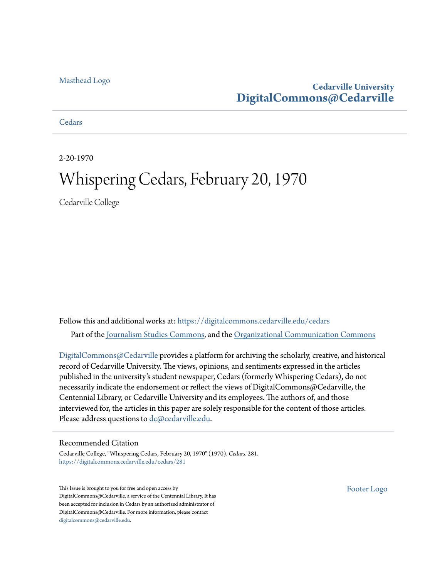#### [Masthead Logo](http://www.cedarville.edu/?utm_source=digitalcommons.cedarville.edu%2Fcedars%2F281&utm_medium=PDF&utm_campaign=PDFCoverPages)

#### **Cedarville University [DigitalCommons@Cedarville](https://digitalcommons.cedarville.edu?utm_source=digitalcommons.cedarville.edu%2Fcedars%2F281&utm_medium=PDF&utm_campaign=PDFCoverPages)**

**[Cedars](https://digitalcommons.cedarville.edu/cedars?utm_source=digitalcommons.cedarville.edu%2Fcedars%2F281&utm_medium=PDF&utm_campaign=PDFCoverPages)** 

2-20-1970

### Whispering Cedars, February 20, 1970

Cedarville College

Follow this and additional works at: [https://digitalcommons.cedarville.edu/cedars](https://digitalcommons.cedarville.edu/cedars?utm_source=digitalcommons.cedarville.edu%2Fcedars%2F281&utm_medium=PDF&utm_campaign=PDFCoverPages) Part of the [Journalism Studies Commons](http://network.bepress.com/hgg/discipline/333?utm_source=digitalcommons.cedarville.edu%2Fcedars%2F281&utm_medium=PDF&utm_campaign=PDFCoverPages), and the [Organizational Communication Commons](http://network.bepress.com/hgg/discipline/335?utm_source=digitalcommons.cedarville.edu%2Fcedars%2F281&utm_medium=PDF&utm_campaign=PDFCoverPages)

[DigitalCommons@Cedarville](http://digitalcommons.cedarville.edu/) provides a platform for archiving the scholarly, creative, and historical record of Cedarville University. The views, opinions, and sentiments expressed in the articles published in the university's student newspaper, Cedars (formerly Whispering Cedars), do not necessarily indicate the endorsement or reflect the views of DigitalCommons@Cedarville, the Centennial Library, or Cedarville University and its employees. The authors of, and those interviewed for, the articles in this paper are solely responsible for the content of those articles. Please address questions to [dc@cedarville.edu.](mailto:dc@cedarville.edu)

#### Recommended Citation

Cedarville College, "Whispering Cedars, February 20, 1970" (1970). *Cedars*. 281. [https://digitalcommons.cedarville.edu/cedars/281](https://digitalcommons.cedarville.edu/cedars/281?utm_source=digitalcommons.cedarville.edu%2Fcedars%2F281&utm_medium=PDF&utm_campaign=PDFCoverPages)

This Issue is brought to you for free and open access by DigitalCommons@Cedarville, a service of the Centennial Library. It has been accepted for inclusion in Cedars by an authorized administrator of DigitalCommons@Cedarville. For more information, please contact [digitalcommons@cedarville.edu](mailto:digitalcommons@cedarville.edu).

[Footer Logo](http://www.cedarville.edu/Academics/Library.aspx?utm_source=digitalcommons.cedarville.edu%2Fcedars%2F281&utm_medium=PDF&utm_campaign=PDFCoverPages)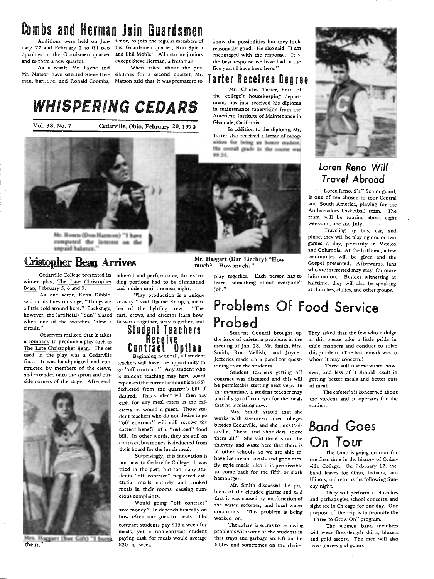# Combs and Herman Join Guardsmen

and to form a new quartet.

As a result, Mr. Payne and Mr. Matsor have selected Steve Her-sibilities for a second quartet, Mr.

Auditions were held on Jan-tenor, to join the regular members of uary 27 and February 2 to fill two the Guardsmen quartet, Ron Spieth openings in the Guardsmen quartet and Phil Mohler. All men are juniors except Steve Herman, a freshman. When asked about the pos-

man, bari.une, and Ronald Coombs, Matson said that it was premature to

# WHISPERING CEDARS

Vol. 38, No. 7 Cedarville, Ohio, February 20, <sup>1970</sup>



Mr. Rosen (Don Harmon) "I have computed the interest on the unpaid balance."

#### **Cristopher Bean Arrives**

winter play, The Late Christopher ding portions had to be dismantled Bean, February 5, 6 and 7.

said in his lines on stage, "Things are <sup>a</sup>little cold around here." Backstage, however, the (artificial) "Sun" blazed when one of the switches "blew a **circuit."** 

Observers realized that it takes a company to produce a play such as The Late Christopher Bean. The set used in the play was a Cedarville first. It was hand-painted and constructed by members of the crews, and extended onto the apron and outside corners of the stage. After each



Mrs. Haggart (Sue Gift) "I burnt them."

Cedarville College presented its rehersal and performance, the exten-

and hidden until the next night. ebruary 5, 8 and 7. The and nidden until the next night.<br>As one actor, Kenn Dibble, "Play production is a unique that is a structure of the actor, Kenn Dibble, "Play production is a unique

activity," said Dianne Kemp, a member of the lighting crew. "The cast, crews, and director learn bow to work together, pray together, and<br>Student Teachers

# Receive.<br>Contract Option<br>Beginning next fall, all student

teachers will have the opportunity to go "off contract." Any student who is student teaching may have board expenses ( the current amount is \$165) deducted from the quarter's bill if desired. This student will then pay cash for any meal eaten in the cafeteria, as would a guest. Those student teachers who do not desire to go "off contract" will still receive the current benefit of a "reduced" food bill. In other words, they are still on contract, but money is deducted from their board for the lunch meal.

Surprisingly, this innovation is not new to Cedarville College. It was tried in the past, but too many students "off contract" neglected cafeteria meals entirely and cooked meals in their rooms, causing numerous complaints.

Would going "off contract" save money? It depends basically on how eften one goes to meals. The contract students pay \$15 a week for meals, yet a non-contract student paying cash for meals would average \$20 a week.

Mr. Haggart (Dan Liechty) "How much?....How much?'

> play together. Each person has to learn something about everyone's job."

know the possibilities but they look reasonably good. He also said, "I am encouraged with the response. Itis the best response we have had in the five years I have been here."

Tarter Receives Degree Mr. Charles Tarter, head of the college's housekeeping department, has just received his diploma in maintenance supervision from the American Institute of Maintenance in

In addition to the diploma, Mr. Tarter also received a letter of recognition for being an honor student. His overall grade in the course was

Glendale, California.

*99.25.* 

#### Problems Of Food Service Probed

Student Council brought up the issue of cafeteria problems in the meeting of Jan. 28. Mr. Smith, Mrs. Smith, Ron Mellish, and Joyce Jefferies made up a panel for questioning from the students.

Student teachers getting off contract was discussed and this will be permissable starting next year. In the meantime, a student teacher may partially go off contract for the meals that he is missing now.

Mrs. Smith stated that she works with seventeen other colleges besides Cedarville, and she rates Cedarville, "head and shoulders above them all." She said there is not the thievery and waste here that there is in other schools, so we are able to have ice cream socials and good family style meals, also it is permissable to come back for the fifth or sixth hamburger.

Mr. Smith discussed the problem of the clouded glasses and said that it was caused by malfunction of the water softener, and local water conditions. This problem is being worked on.

The cafeteria seems to be having problems with some of the students in that trays and garbage are left on the tables and sometimes on the chairs.



#### Loren Reno Will *Travel* Abroad

Loren Reno, 6'1" Senior guard, is one of ten chosen to tour Central and South America, playing for the Ambassadors basketball team. The team will be touring about eight weeks in June and July.

Traveling by bus, car, and plane, they will be playing one or two games a day, primarily in Mexico and Columbia. At the halftime, a few testimonies will be given and the Gospel presented. Afterwards, fans who are interested may stay, for more information. Besides witnessing at halftime, they will also be speaking

They asked that the few who indulge in this please take a little pride in table manners and conduct to solve this problem. (The last remark was to whom it may concern.)

There still is some waste, however, and less of it should result in getting better meals and better cuts of meat.

The cafeteria is concerned about the student and it operates for the student.

### Band Goes On Tour

The band is going on tour for the first time in the history of Cedarville College. On February 17, the band leaves for Ohio, Indiana, and Illinois, and returns the following Sunday night.

They will perform at churches and perhaps give school concerts, and sight see in Chicago for one day. One purpose of the trip is to promote the "Three to Grow On" program.

The women band members will wear floor·length skirts, blazers and gold ascots. The men will also have blazers and ascots.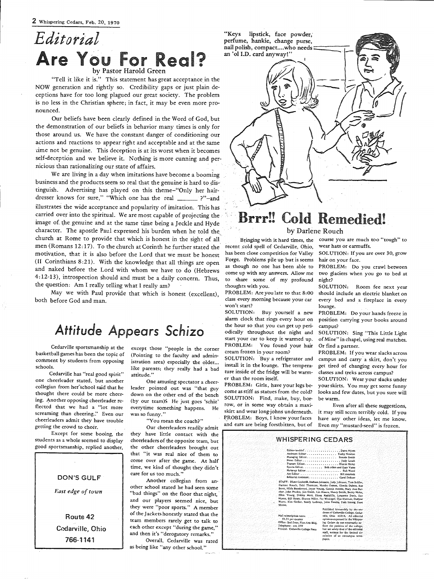#### *Editorial*  Are You For Real? by Pastor Harold Green

"Tell it like it is." This statement has great acceptance in the NOW generation and rightly so. Credibility gaps or just plain deceptions have for too long plagued our great society. The problem is no less in the Christian sphere; in fact, it may be even more pronounced.

Our beliefs have been clearly defined in the Word of God, but the demonstration of our beliefs in behavior many times is only for those around us. We have the constant danger of conditioning our actions and reactions to appear right and acceptable and at the same time not be genuine. This deception is at its worst when it becomes self-deception and we believe it. Nothing is more cunning and pernicious than rationalizing our state of affairs.

We are living in a day when imitations have become a booming business and the products seem so real that the genuine is hard to distinguish. Advertising has played on this theme-"Only her hairdresser knows for sure," "Which one has the real \_ \_\_\_\_ ?"-and illustrates the wide acceptance and popularity of imitation. This has carried over into the spiritual. We are most capable of projecting the image of the genuine and at the same time being a Jeckle and Hyde character. The apostle Paul expressed his burden when he told the church at Rome to provide that which is honest in the sight of all men (Romans 12:17). To the church at Corinth he further stated the motivation, that it is also before the Lord that we must be honest (II Corinthians 8:21). With the knowledge that all things are open and naked before the Lord with whom we have to do (Hebrews 4:12-13), introspection should and must be a daily concern. Thus, the question: Am I really telling what I really am?

May we with Paul provide that which is honest (excellent), both before God and man.

#### *Attitude Appears Schizo*

Cedarville sportsmanship at the basketball.games has been the topic of comment by students from opposing schools.

Cedarville has "real good spirit" one cheerleader stated, but another collegian from her<sup>-</sup>school said that he thought there could be more cheering. Another opposing cheerleader reflected that we had a "lot more screaming than cheering." Even our cheerleaders admit they have trouble getting the crowd to cheer.

Except for some booing, the students as a whole seemed to display good sportsmanship, replied another,



Route 42 Cedarville, Ohio 766-1141

except those "people in the corner (Pointing to the faculty and administration area) especially the older... like parents; they really had a bad attitude."

One amusing spectator a cheerleader pointed out was "that guy down on the other end of the bench (by our team)& He just goes 'schiz' everytime something happens. He was so funny."

"You mean the coach?"

Our cheerleaders readily admit they have little contact with the cheerleaders of the opposite team, but the other cheerleaders brought out that "it was real nice of them to come over after the game. At half time, we kind of thought they didn't care for us too much."

Another collegian from another school stated he had seen some "bad things" on the floor that night, and our players seemed nice, but they were "poor sports." A member of the Jackets honestly stated that the team members rarely get to talk to each other except "during the game," and then it's "derogatory remarks."

Overall, Cedarville was rated as being like "any other school."



# Brrr!! Cold Remedied!

#### by Darlene Rouch

Bringing with it hard times, the recent cold spell of Cedarville, Ohio, has been close competition for Valley Forge. Problems pile up but is seems as though no one has been able to come up with any answers. Allow me to share some of my profound thoughts with you.

PROBLEM: Are you late to that 8:00 class every morning because your car won't start?

SOLUTION: Buy yourself a new alarm clock that rings every hour on the hour so that you can get up periodically throughout the night and start your car to keep it warmed up. PROBLEM: You found your hair cream frozen in your room?

SOLUTION: Buy a refrigerator and install it in the lounge. The temperature inside of the fridge will be warmer than the room itself.

PROBLEM: Girls, have your legs become as stiff as statues from the cold? SOLUTION: Find, make, buy, borrow, or in some way obtain a maxiskirt and wear long-johns underneath. f,ROBLEM: Boys, I know your faces and ears are being forstbitten, but of

course you are much too "tough" to wear hats or earmuffs.

SOLUTION: If you are over 30, grow hair on your face.

PROBLEM: Do you crawl between two glaciers when you go to bed at night?

SOLUTION: Room fee next year should include an electric blanket on every bed and a fireplace in every lounge.

PROBLEM: Do your hands freeze in position carrying your books around campus?

SOLUTION: Sing "This Little Light of Mine" in chapel, using real matches. Or find a partner.

PROBLEM: If you wear slacks across campus and carry· a skirt, don't you get tired of changing every hour for classes and treks across campus?

SOLUTION: Wear your slacks under your skirts. You may get some funny looks and few dates, but you sure will be warm.

Even after all these suggestions, it may still seem terribly cold. If you have any other ideas, let me know. Even my "mustard-seed" is frozen.

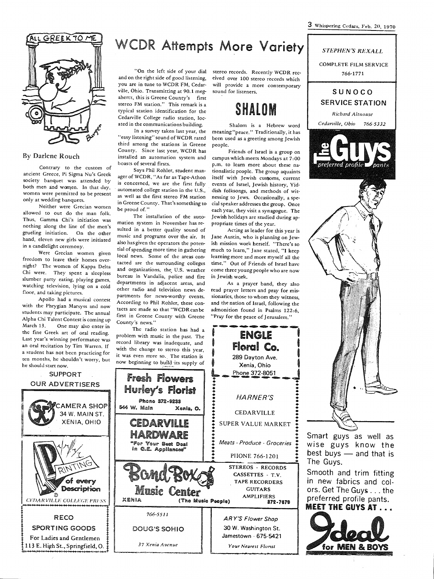3 Whispering Cedars, Feb. 20, <sup>1970</sup>





wise guys know the best buys  $-$  and that is The Guys.

Smooth and trim fitting in new fabrics and colors. Get The Guys ... the preferred profile pants. MEET THE GUYS AT . . .





#### By Darlene Rouch

Contrary to the custom of ancient Greece, Pi Sigma Nu's Greek society banquet was attended by both men and women. In that day, women were permitted to be present only at wedding banquets.

Neither were Grecian women allowed to out do the man folk. Thus, Gamma Chi's initiation was nothing along the line of the men's grueling initiation. On the other hand, eleven new girls were initiated in a candlelight ceremony.

Were Grecian women given freedom to leave their homes overnight? The women of Kappa Delta Chi were. They spent a sleepless slumber party eating, playing games, watching television, lying on a cold floor, and taking pictures.

Apollo had a musical contest with the Phrygian Marsyss and now students may participate. The annual Alpha Chi Talent Contest is coming up March 13. One may also enter in the fine Greek art of oral reading. Last year's winning performance was an oral recitation by Tim Warren. If a student has not been practicing for ten months, he shouldn't worry, but he should start now.

**IS** 

## WCDR Attempts More Variety

"On the left side of your dial and on the right side of good listening, you are in tune to WCDR FM, Cedar· ville, Ohio. Transmitting at 90.1 megahertz, this is Greene County's first stereo FM station." This remark is a typical station identification for the Cedarville College radio station, located in the communications building.

In a survey taken last year, the "easy listening" sound of WCDR rated third among the stations in Greene County. Since last year, WCDR has installed an automation system and boasts of several firsts.

Says Phil Rohler, student manager of WCDR, "As far as Tape-Athon is concerned, we are the first fully automated college station in the U.S., as well as the first stereo FM station in Greene County. That's something to be proud of."

The installation of the auto· mation system in November has resulted in a better quality sound of music and programs over the air. It also has given the operators the potential of spending more time in gathering local news. Some of the areas contacted are the surrounding colleges and organizations, the, U.S. weather bureau in Vandalia, police and fire departments in adjacent areas, and ocher radio and television news departments for news-worthy events. According to Phil Rohler, these contacts are made so that "WCDRcanbe first in Greene County with Greene County's news."

The radio station has had a problem with music in the past. The record library was inadequate, and stereo records. Recently WCDR received over 100 stereo records which will provide a more contemporary sound for listeners.

### SHALOM

Shalom is a Hebrew word meaning "peace." Traditionally, it has been used as a greeting among Jewish people.

Friends of Israel is a group on campus which meets Mondays at 7: <sup>00</sup> p.m. to learn more about these nationalistic people. The group aquaints itself with Jewish customs, current events of Israel, Jewish history, Yiddish folksongs, and methods of witnessing to Jews. Occasionally, a special speaker addresses the group. Once each year, they visit a synagogue. The Jewish holidays are studied during appropriate times of the year.

Acting as leader for this year is Jane Austin, who is planning on Jewish mission work herself. "There's so much to learn," Jane stated, "I keep learning more and more myself all the time." Out of Friends of Israel have come three young people who are now in Jewish work.

As a prayer band, they also read prayer letters and pray for missionaries, those to whom they witness, and the nation of Israel, following the admonition found in Psalms 122:6, "Pray for the peace of Jerusalem."

**ENGLE**